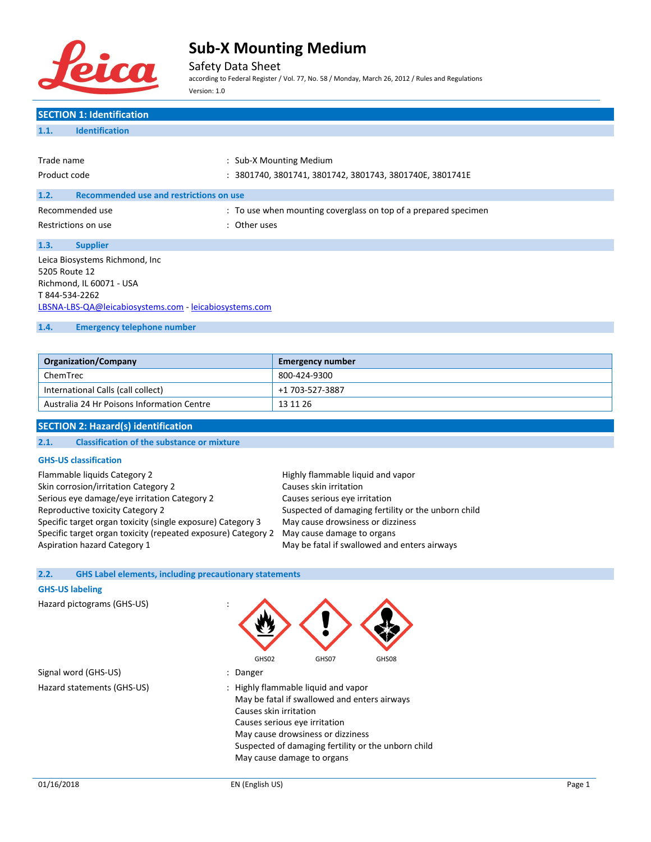

Safety Data Sheet

according to Federal Register / Vol. 77, No. 58 / Monday, March 26, 2012 / Rules and Regulations Version: 1.0

# **SECTION 1: Identification 1.1. Identification** Trade name  $\qquad \qquad : \text{Sub-X}$  Mounting Medium Product code : 3801740, 3801741, 3801742, 3801743, 3801740E, 3801741E **1.2. Recommended use and restrictions on use** Recommended use  $\sim$  : To use when mounting coverglass on top of a prepared specimen Restrictions on use the set of the set of the set of the set of the set of the set of the set of the set of the set of the set of the set of the set of the set of the set of the set of the set of the set of the set of the **1.3. Supplier** Leica Biosystems Richmond, Inc 5205 Route 12 Richmond, IL 60071 - USA T 844-534-2262 [LBSNA-LBS-QA@leicabiosystems.com](mailto:LBSNA-LBS-QA@leicabiosystems.com) - <leicabiosystems.com>

#### **1.4. Emergency telephone number**

| <b>Organization/Company</b>                | <b>Emergency number</b> |
|--------------------------------------------|-------------------------|
| ChemTrec                                   | 800-424-9300            |
| International Calls (call collect)         | +1 703-527-3887         |
| Australia 24 Hr Poisons Information Centre | 13 11 26                |

#### **SECTION 2: Hazard(s) identification**

#### **2.1. Classification of the substance or mixture**

#### **GHS-US classification**

Flammable liquids Category 2 **highly flammable liquid and vapor** Skin corrosion/irritation Category 2 Causes skin irritation Serious eye damage/eye irritation Category 2 Causes serious eye irritation Reproductive toxicity Category 2 Suspected of damaging fertility or the unborn child Specific target organ toxicity (single exposure) Category 3 May cause drowsiness or dizziness Specific target organ toxicity (repeated exposure) Category 2 May cause damage to organs Aspiration hazard Category 1 May be fatal if swallowed and enters airways

#### **2.2. GHS Label elements, including precautionary statements**

### **GHS-US labeling**

Hazard pictograms (GHS-US) :

Signal word (GHS-US) **in the same of the Signal word** (GHS-US)

- 
- Hazard statements (GHS-US) : Highly flammable liquid and vapor May be fatal if swallowed and enters airways Causes skin irritation Causes serious eye irritation May cause drowsiness or dizziness Suspected of damaging fertility or the unborn child May cause damage to organs

GHS02 GHS07 GHS08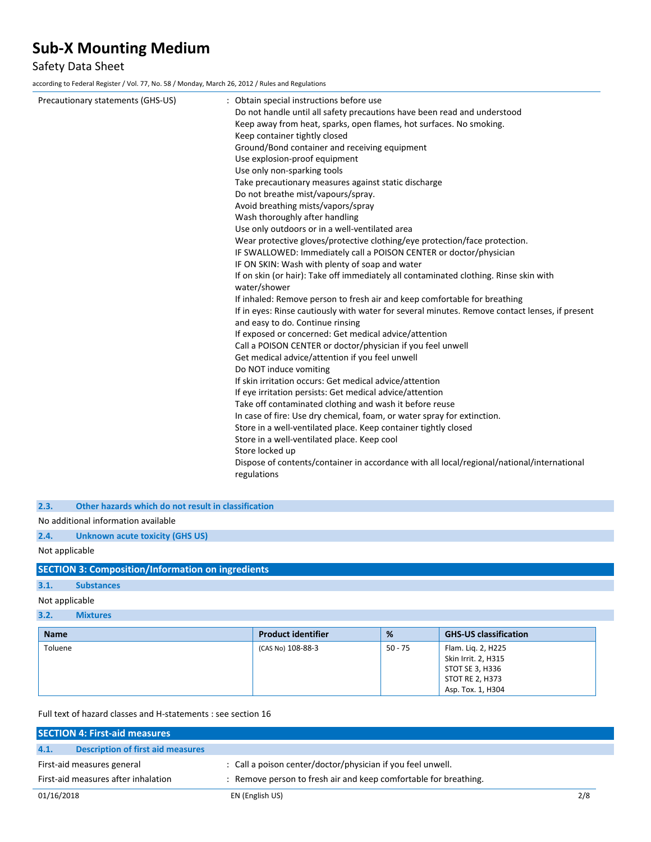# Safety Data Sheet

according to Federal Register / Vol. 77, No. 58 / Monday, March 26, 2012 / Rules and Regulations

| Precautionary statements (GHS-US) | : Obtain special instructions before use<br>Do not handle until all safety precautions have been read and understood<br>Keep away from heat, sparks, open flames, hot surfaces. No smoking.<br>Keep container tightly closed<br>Ground/Bond container and receiving equipment<br>Use explosion-proof equipment<br>Use only non-sparking tools<br>Take precautionary measures against static discharge<br>Do not breathe mist/vapours/spray.<br>Avoid breathing mists/vapors/spray<br>Wash thoroughly after handling<br>Use only outdoors or in a well-ventilated area<br>Wear protective gloves/protective clothing/eye protection/face protection.<br>IF SWALLOWED: Immediately call a POISON CENTER or doctor/physician<br>IF ON SKIN: Wash with plenty of soap and water<br>If on skin (or hair): Take off immediately all contaminated clothing. Rinse skin with<br>water/shower<br>If inhaled: Remove person to fresh air and keep comfortable for breathing<br>If in eyes: Rinse cautiously with water for several minutes. Remove contact lenses, if present<br>and easy to do. Continue rinsing<br>If exposed or concerned: Get medical advice/attention<br>Call a POISON CENTER or doctor/physician if you feel unwell<br>Get medical advice/attention if you feel unwell<br>Do NOT induce vomiting<br>If skin irritation occurs: Get medical advice/attention<br>If eye irritation persists: Get medical advice/attention<br>Take off contaminated clothing and wash it before reuse<br>In case of fire: Use dry chemical, foam, or water spray for extinction.<br>Store in a well-ventilated place. Keep container tightly closed<br>Store in a well-ventilated place. Keep cool<br>Store locked up<br>Dispose of contents/container in accordance with all local/regional/national/international<br>regulations |
|-----------------------------------|-----------------------------------------------------------------------------------------------------------------------------------------------------------------------------------------------------------------------------------------------------------------------------------------------------------------------------------------------------------------------------------------------------------------------------------------------------------------------------------------------------------------------------------------------------------------------------------------------------------------------------------------------------------------------------------------------------------------------------------------------------------------------------------------------------------------------------------------------------------------------------------------------------------------------------------------------------------------------------------------------------------------------------------------------------------------------------------------------------------------------------------------------------------------------------------------------------------------------------------------------------------------------------------------------------------------------------------------------------------------------------------------------------------------------------------------------------------------------------------------------------------------------------------------------------------------------------------------------------------------------------------------------------------------------------------------------------------------------------------------------------------------------------------------------------------------------------|
|-----------------------------------|-----------------------------------------------------------------------------------------------------------------------------------------------------------------------------------------------------------------------------------------------------------------------------------------------------------------------------------------------------------------------------------------------------------------------------------------------------------------------------------------------------------------------------------------------------------------------------------------------------------------------------------------------------------------------------------------------------------------------------------------------------------------------------------------------------------------------------------------------------------------------------------------------------------------------------------------------------------------------------------------------------------------------------------------------------------------------------------------------------------------------------------------------------------------------------------------------------------------------------------------------------------------------------------------------------------------------------------------------------------------------------------------------------------------------------------------------------------------------------------------------------------------------------------------------------------------------------------------------------------------------------------------------------------------------------------------------------------------------------------------------------------------------------------------------------------------------------|

| 2.3. | Other hazards which do not result in classification |  |  |  |  |
|------|-----------------------------------------------------|--|--|--|--|
|      |                                                     |  |  |  |  |

## No additional information available

**2.4. Unknown acute toxicity (GHS US)**

### Not applicable

### **SECTION 3: Composition/Information on ingredients**

**3.1. Substances**

#### Not applicable

#### **3.2. Mixtures**

| <b>Name</b> | <b>Product identifier</b> | %       | <b>GHS-US classification</b>                                                                         |
|-------------|---------------------------|---------|------------------------------------------------------------------------------------------------------|
| Toluene     | (CAS No) 108-88-3         | 50 - 75 | Flam. Lig. 2, H225<br>Skin Irrit. 2, H315<br>STOT SE 3, H336<br>STOT RE 2, H373<br>Asp. Tox. 1, H304 |

Full text of hazard classes and H-statements : see section 16

|            | <b>SECTION 4: First-aid measures</b>     |                                                                  |     |
|------------|------------------------------------------|------------------------------------------------------------------|-----|
| 4.1.       | <b>Description of first aid measures</b> |                                                                  |     |
|            | First-aid measures general               | : Call a poison center/doctor/physician if you feel unwell.      |     |
|            | First-aid measures after inhalation      | : Remove person to fresh air and keep comfortable for breathing. |     |
| 01/16/2018 |                                          | EN (English US)                                                  | 2/8 |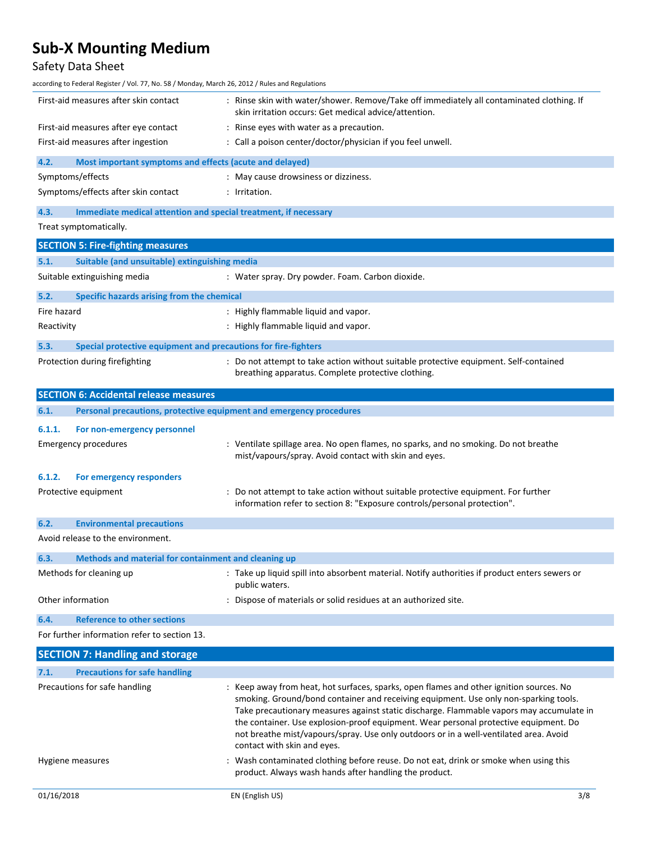# Safety Data Sheet

according to Federal Register / Vol. 77, No. 58 / Monday, March 26, 2012 / Rules and Regulations

| : Rinse skin with water/shower. Remove/Take off immediately all contaminated clothing. If                                                                                                                                                                                                                                                                                                                                                                                                                                                             |
|-------------------------------------------------------------------------------------------------------------------------------------------------------------------------------------------------------------------------------------------------------------------------------------------------------------------------------------------------------------------------------------------------------------------------------------------------------------------------------------------------------------------------------------------------------|
|                                                                                                                                                                                                                                                                                                                                                                                                                                                                                                                                                       |
|                                                                                                                                                                                                                                                                                                                                                                                                                                                                                                                                                       |
|                                                                                                                                                                                                                                                                                                                                                                                                                                                                                                                                                       |
|                                                                                                                                                                                                                                                                                                                                                                                                                                                                                                                                                       |
|                                                                                                                                                                                                                                                                                                                                                                                                                                                                                                                                                       |
|                                                                                                                                                                                                                                                                                                                                                                                                                                                                                                                                                       |
|                                                                                                                                                                                                                                                                                                                                                                                                                                                                                                                                                       |
|                                                                                                                                                                                                                                                                                                                                                                                                                                                                                                                                                       |
|                                                                                                                                                                                                                                                                                                                                                                                                                                                                                                                                                       |
|                                                                                                                                                                                                                                                                                                                                                                                                                                                                                                                                                       |
|                                                                                                                                                                                                                                                                                                                                                                                                                                                                                                                                                       |
|                                                                                                                                                                                                                                                                                                                                                                                                                                                                                                                                                       |
|                                                                                                                                                                                                                                                                                                                                                                                                                                                                                                                                                       |
|                                                                                                                                                                                                                                                                                                                                                                                                                                                                                                                                                       |
|                                                                                                                                                                                                                                                                                                                                                                                                                                                                                                                                                       |
| : Do not attempt to take action without suitable protective equipment. Self-contained                                                                                                                                                                                                                                                                                                                                                                                                                                                                 |
|                                                                                                                                                                                                                                                                                                                                                                                                                                                                                                                                                       |
|                                                                                                                                                                                                                                                                                                                                                                                                                                                                                                                                                       |
|                                                                                                                                                                                                                                                                                                                                                                                                                                                                                                                                                       |
| : Ventilate spillage area. No open flames, no sparks, and no smoking. Do not breathe                                                                                                                                                                                                                                                                                                                                                                                                                                                                  |
|                                                                                                                                                                                                                                                                                                                                                                                                                                                                                                                                                       |
| : Do not attempt to take action without suitable protective equipment. For further                                                                                                                                                                                                                                                                                                                                                                                                                                                                    |
|                                                                                                                                                                                                                                                                                                                                                                                                                                                                                                                                                       |
|                                                                                                                                                                                                                                                                                                                                                                                                                                                                                                                                                       |
|                                                                                                                                                                                                                                                                                                                                                                                                                                                                                                                                                       |
|                                                                                                                                                                                                                                                                                                                                                                                                                                                                                                                                                       |
| : Take up liquid spill into absorbent material. Notify authorities if product enters sewers or                                                                                                                                                                                                                                                                                                                                                                                                                                                        |
|                                                                                                                                                                                                                                                                                                                                                                                                                                                                                                                                                       |
|                                                                                                                                                                                                                                                                                                                                                                                                                                                                                                                                                       |
|                                                                                                                                                                                                                                                                                                                                                                                                                                                                                                                                                       |
|                                                                                                                                                                                                                                                                                                                                                                                                                                                                                                                                                       |
|                                                                                                                                                                                                                                                                                                                                                                                                                                                                                                                                                       |
| : Keep away from heat, hot surfaces, sparks, open flames and other ignition sources. No<br>smoking. Ground/bond container and receiving equipment. Use only non-sparking tools.<br>Take precautionary measures against static discharge. Flammable vapors may accumulate in<br>the container. Use explosion-proof equipment. Wear personal protective equipment. Do<br>not breathe mist/vapours/spray. Use only outdoors or in a well-ventilated area. Avoid<br>: Wash contaminated clothing before reuse. Do not eat, drink or smoke when using this |
|                                                                                                                                                                                                                                                                                                                                                                                                                                                                                                                                                       |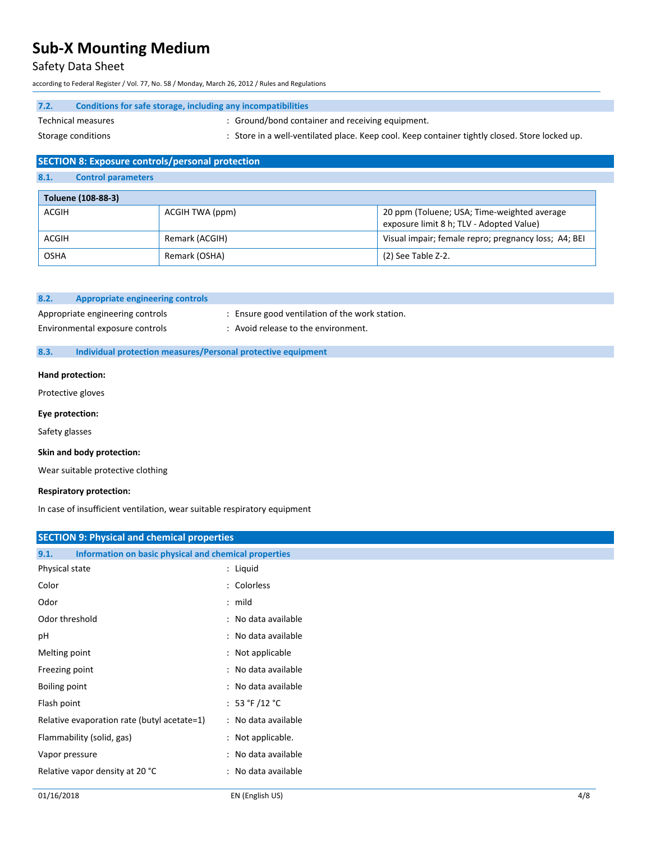## Safety Data Sheet

according to Federal Register / Vol. 77, No. 58 / Monday, March 26, 2012 / Rules and Regulations

#### **7.2. Conditions for safe storage, including any incompatibilities**

Technical measures : Ground/bond container and receiving equipment.

Storage conditions **Store in a well-ventilated place. Keep cool. Keep container tightly closed. Store locked up.** 

# **SECTION 8: Exposure controls/personal protection**

### **8.1. Control parameters**

| Toluene (108-88-3) |                 |                                                                                         |
|--------------------|-----------------|-----------------------------------------------------------------------------------------|
| ACGIH              | ACGIH TWA (ppm) | 20 ppm (Toluene; USA; Time-weighted average<br>exposure limit 8 h; TLV - Adopted Value) |
| <b>ACGIH</b>       | Remark (ACGIH)  | Visual impair; female repro; pregnancy loss; A4; BEI                                    |
| <b>OSHA</b>        | Remark (OSHA)   | (2) See Table Z-2.                                                                      |

#### **8.2. Appropriate engineering controls**

Appropriate engineering controls : Ensure good ventilation of the work station.

Environmental exposure controls : Avoid release to the environment.

### **8.3. Individual protection measures/Personal protective equipment**

#### **Hand protection:**

Protective gloves

#### **Eye protection:**

Safety glasses

#### **Skin and body protection:**

Wear suitable protective clothing

#### **Respiratory protection:**

In case of insufficient ventilation, wear suitable respiratory equipment

| <b>SECTION 9: Physical and chemical properties</b>            |                                  |
|---------------------------------------------------------------|----------------------------------|
| Information on basic physical and chemical properties<br>9.1. |                                  |
| Physical state                                                | : Liquid                         |
| Color                                                         | : Colorless                      |
| Odor                                                          | : mild                           |
| Odor threshold                                                | : No data available              |
| рH                                                            | : No data available              |
| Melting point                                                 | : Not applicable                 |
| Freezing point                                                | : No data available              |
| Boiling point                                                 | : No data available              |
| Flash point                                                   | : 53 $\degree$ F /12 $\degree$ C |
| Relative evaporation rate (butyl acetate=1)                   | : No data available              |
| Flammability (solid, gas)                                     | : Not applicable.                |
| Vapor pressure                                                | : No data available              |
| Relative vapor density at 20 °C                               | : No data available              |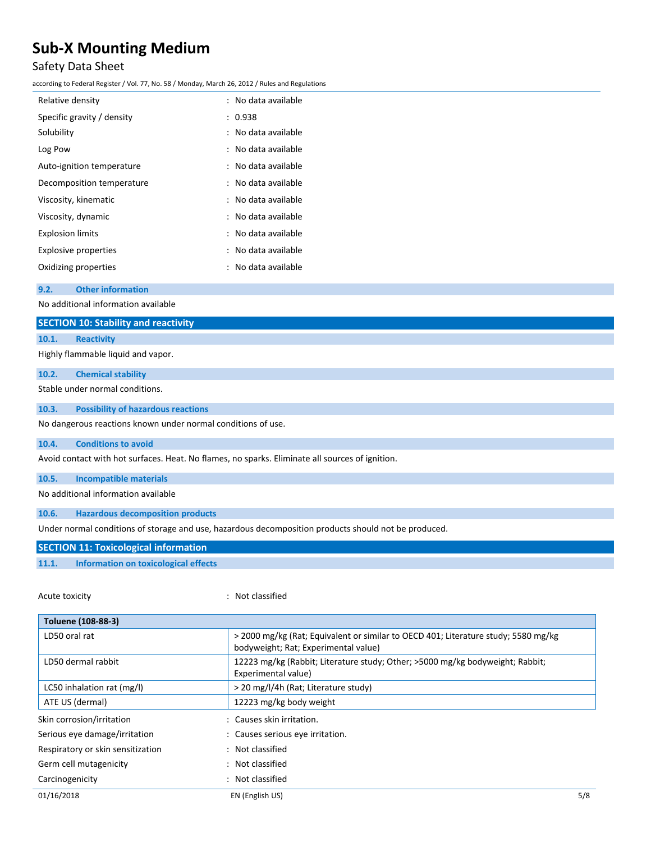# Safety Data Sheet

according to Federal Register / Vol. 77, No. 58 / Monday, March 26, 2012 / Rules and Regulations

| Relative density            | : No data available |
|-----------------------------|---------------------|
| Specific gravity / density  | : 0.938             |
| Solubility                  | : No data available |
| Log Pow                     | : No data available |
| Auto-ignition temperature   | : No data available |
| Decomposition temperature   | : No data available |
| Viscosity, kinematic        | : No data available |
| Viscosity, dynamic          | : No data available |
| <b>Explosion limits</b>     | : No data available |
| <b>Explosive properties</b> | : No data available |
| Oxidizing properties        | : No data available |
|                             |                     |

**9.2. Other information**

No additional information available

|       | <b>SECTION 10: Stability and reactivity</b>                                                     |
|-------|-------------------------------------------------------------------------------------------------|
| 10.1. | <b>Reactivity</b>                                                                               |
|       | Highly flammable liquid and vapor.                                                              |
| 10.2. | <b>Chemical stability</b>                                                                       |
|       | Stable under normal conditions.                                                                 |
| 10.3. | <b>Possibility of hazardous reactions</b>                                                       |
|       | No dangerous reactions known under normal conditions of use.                                    |
| 10.4. | <b>Conditions to avoid</b>                                                                      |
|       | Avoid contact with hot surfaces. Heat. No flames, no sparks. Eliminate all sources of ignition. |
| 10.5. | <b>Incompatible materials</b>                                                                   |
|       | No additional information available                                                             |
| 10.6. | <b>Hazardous decomposition products</b>                                                         |

Under normal conditions of storage and use, hazardous decomposition products should not be produced.

# **SECTION 11: Toxicological information**

**11.1. Information on toxicological effects**

Acute toxicity **in the case of the Case of the Case of the Case of the Case of the Case of the Case of the Case of the Case of the Case of the Case of the Case of the Case of the Case of the Case of the Case of the Case of** 

| Toluene (108-88-3)                |                                                                                                                            |
|-----------------------------------|----------------------------------------------------------------------------------------------------------------------------|
| LD50 oral rat                     | > 2000 mg/kg (Rat; Equivalent or similar to OECD 401; Literature study; 5580 mg/kg<br>bodyweight; Rat; Experimental value) |
| LD50 dermal rabbit                | 12223 mg/kg (Rabbit; Literature study; Other; >5000 mg/kg bodyweight; Rabbit;<br>Experimental value)                       |
| LC50 inhalation rat (mg/l)        | > 20 mg/l/4h (Rat; Literature study)                                                                                       |
| ATE US (dermal)                   | 12223 mg/kg body weight                                                                                                    |
| Skin corrosion/irritation         | : Causes skin irritation.                                                                                                  |
| Serious eye damage/irritation     | : Causes serious eye irritation.                                                                                           |
| Respiratory or skin sensitization | : Not classified                                                                                                           |
| Germ cell mutagenicity            | : Not classified                                                                                                           |
| Carcinogenicity                   | : Not classified                                                                                                           |
| 01/16/2018                        | 5/8<br>EN (English US)                                                                                                     |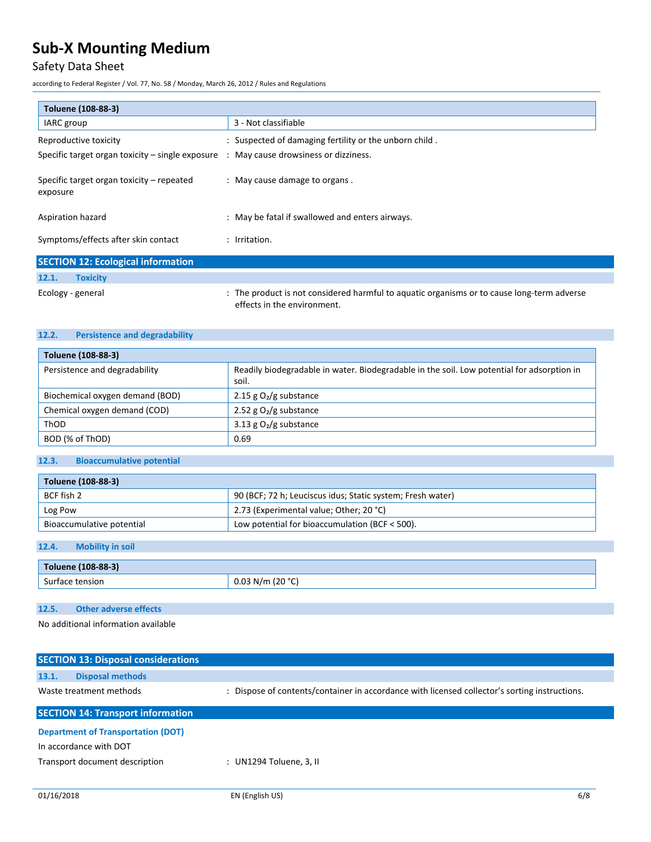# Safety Data Sheet

according to Federal Register / Vol. 77, No. 58 / Monday, March 26, 2012 / Rules and Regulations

| Toluene (108-88-3)                                    |                                                                                                                           |
|-------------------------------------------------------|---------------------------------------------------------------------------------------------------------------------------|
| IARC group                                            | 3 - Not classifiable                                                                                                      |
| Reproductive toxicity                                 | : Suspected of damaging fertility or the unborn child.                                                                    |
| Specific target organ toxicity – single exposure      | : May cause drowsiness or dizziness.                                                                                      |
| Specific target organ toxicity – repeated<br>exposure | : May cause damage to organs.                                                                                             |
| Aspiration hazard                                     | : May be fatal if swallowed and enters airways.                                                                           |
| Symptoms/effects after skin contact                   | : Irritation.                                                                                                             |
| <b>SECTION 12: Ecological information</b>             |                                                                                                                           |
| 12.1.<br><b>Toxicity</b>                              |                                                                                                                           |
| Ecology - general                                     | : The product is not considered harmful to aquatic organisms or to cause long-term adverse<br>effects in the environment. |

| 12.2.<br><b>Persistence and degradability</b> |                                                                                                     |
|-----------------------------------------------|-----------------------------------------------------------------------------------------------------|
| <b>Toluene (108-88-3)</b>                     |                                                                                                     |
| Persistence and degradability                 | Readily biodegradable in water. Biodegradable in the soil. Low potential for adsorption in<br>soil. |
| Biochemical oxygen demand (BOD)               | 2.15 g $O_2/g$ substance                                                                            |
| Chemical oxygen demand (COD)                  | 2.52 g $O_2/g$ substance                                                                            |
| ThOD                                          | 3.13 g $O_2/g$ substance                                                                            |
| BOD (% of ThOD)                               | 0.69                                                                                                |

## **12.3. Bioaccumulative potential**

| Toluene (108-88-3)        |                                                            |
|---------------------------|------------------------------------------------------------|
| BCF fish 2                | 90 (BCF; 72 h; Leuciscus idus; Static system; Fresh water) |
| Log Pow                   | 2.73 (Experimental value; Other; 20 °C)                    |
| Bioaccumulative potential | Low potential for bioaccumulation (BCF < 500).             |

### **12.4. Mobility in soil**

| Toluene <sub>1</sub><br>(108-88-3) |                                 |
|------------------------------------|---------------------------------|
| ısıon<br>.                         | '20°C<br>ົ<br>M<br>∼<br>$\cdot$ |

## **12.5. Other adverse effects**

No additional information available

| <b>SECTION 13: Disposal considerations</b>                                                                               |                         |
|--------------------------------------------------------------------------------------------------------------------------|-------------------------|
| 13.1.<br><b>Disposal methods</b>                                                                                         |                         |
| : Dispose of contents/container in accordance with licensed collector's sorting instructions.<br>Waste treatment methods |                         |
| <b>SECTION 14: Transport information</b>                                                                                 |                         |
| <b>Department of Transportation (DOT)</b>                                                                                |                         |
| In accordance with DOT                                                                                                   |                         |
| Transport document description                                                                                           | : UN1294 Toluene, 3, II |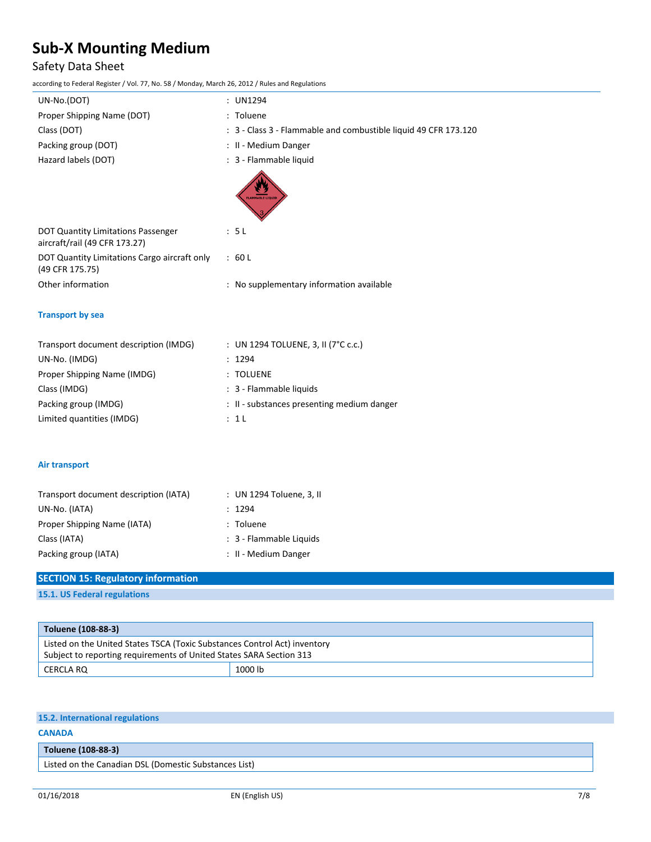# Safety Data Sheet

according to Federal Register / Vol. 77, No. 58 / Monday, March 26, 2012 / Rules and Regulations

| UN-No.(DOT)                                                         | : UN1294                                                        |  |  |
|---------------------------------------------------------------------|-----------------------------------------------------------------|--|--|
| Proper Shipping Name (DOT)                                          | : Toluene                                                       |  |  |
| Class (DOT)                                                         | : 3 - Class 3 - Flammable and combustible liquid 49 CFR 173.120 |  |  |
| Packing group (DOT)                                                 | : II - Medium Danger                                            |  |  |
| Hazard labels (DOT)                                                 | : 3 - Flammable liquid                                          |  |  |
|                                                                     | <b>AMMABLE LIQU</b>                                             |  |  |
| DOT Quantity Limitations Passenger<br>aircraft/rail (49 CFR 173.27) | : 5L                                                            |  |  |
| DOT Quantity Limitations Cargo aircraft only<br>(49 CFR 175.75)     | :60L                                                            |  |  |
| Other information                                                   | : No supplementary information available                        |  |  |
| <b>Transport by sea</b>                                             |                                                                 |  |  |
| Transport document description (IMDG)                               | : UN 1294 TOLUENE, 3, II (7°C c.c.)                             |  |  |
| UN-No. (IMDG)                                                       | : 1294                                                          |  |  |
| Proper Shipping Name (IMDG)                                         | : TOLUENE                                                       |  |  |
| Class (IMDG)                                                        | : 3 - Flammable liquids                                         |  |  |
| Packing group (IMDG)                                                | : II - substances presenting medium danger                      |  |  |
| Limited quantities (IMDG)                                           | : 1L                                                            |  |  |
| Air transport                                                       |                                                                 |  |  |
| Transport document description (IATA)                               | : UN 1294 Toluene, 3, II                                        |  |  |
| UN-No. (IATA)                                                       | : 1294                                                          |  |  |
| Proper Shipping Name (IATA)                                         | : Toluene                                                       |  |  |
| Class (IATA)                                                        | : 3 - Flammable Liquids                                         |  |  |

## **SECTION 15: Regulatory information**

Packing group (IATA)  $\qquad \qquad$  : II - Medium Danger

**15.1. US Federal regulations**

| Toluene (108-88-3)                                                        |         |
|---------------------------------------------------------------------------|---------|
| Listed on the United States TSCA (Toxic Substances Control Act) inventory |         |
| Subject to reporting requirements of United States SARA Section 313       |         |
| CERCLA RO                                                                 | 1000 lb |

## **15.2. International regulations**

## **CANADA**

| Toluene (108-88-3)                                    |  |
|-------------------------------------------------------|--|
| Listed on the Canadian DSL (Domestic Substances List) |  |